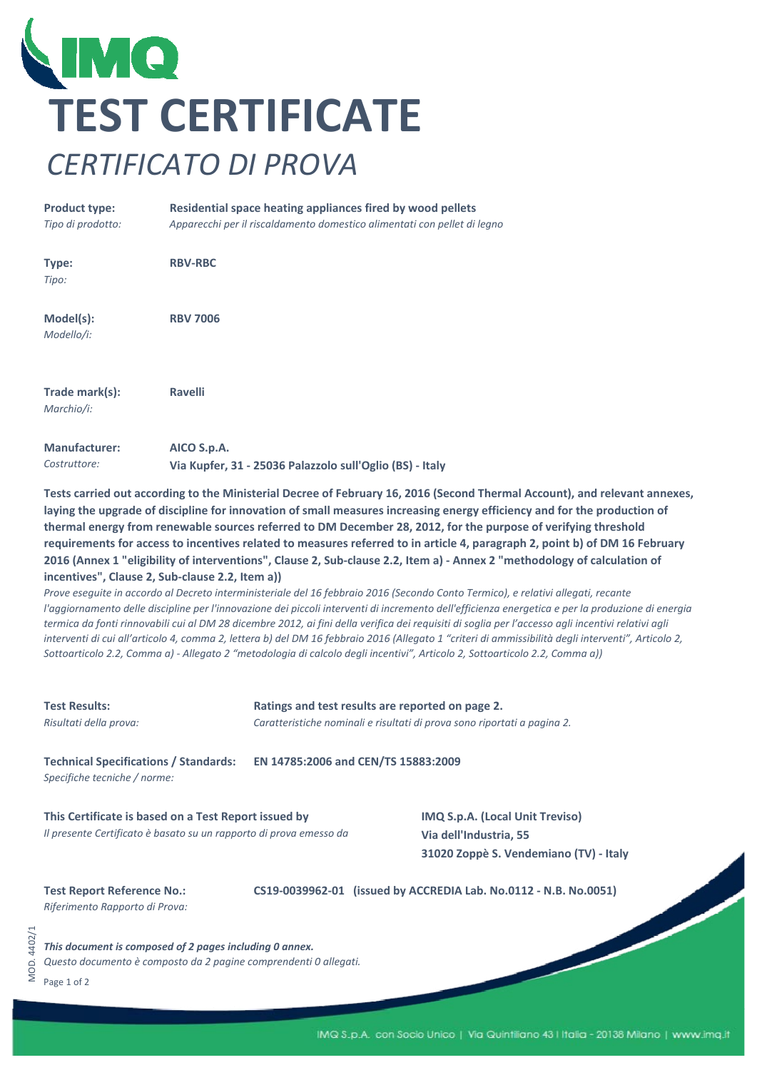

## **Product type:** *Tipo di prodotto:* **Type:** *Tipo:* **Model(s):** *Modello/i:* **Trade mark(s):** *Marchio/i:* **Manufacturer: Residential space heating appliances fired by wood pellets Ravelli AICO S.p.A.** *Apparecchi per il riscaldamento domestico alimentati con pellet di legno* **RBV‐RBC RBV 7006**

**Via Kupfer, 31 ‐ 25036 Palazzolo sull'Oglio (BS) ‐ Italy**

Tests carried out according to the Ministerial Decree of February 16, 2016 (Second Thermal Account), and relevant annexes, laying the upgrade of discipline for innovation of small measures increasing energy efficiency and for the production of thermal energy from renewable sources referred to DM December 28, 2012, for the purpose of verifying threshold requirements for access to incentives related to measures referred to in article 4, paragraph 2, point b) of DM 16 February 2016 (Annex 1 "eligibility of interventions", Clause 2, Sub-clause 2.2, Item a) - Annex 2 "methodology of calculation of **incentives", Clause 2, Sub‐clause 2.2, Item a))**

Prove eseguite in accordo al Decreto interministeriale del 16 febbraio 2016 (Secondo Conto Termico), e relativi allegati, recante l'aggiornamento delle discipline per l'innovazione dei piccoli interventi di incremento dell'efficienza energetica e per la produzione di energia termica da fonti rinnovabili cui al DM 28 dicembre 2012, ai fini della verifica dei requisiti di soglia per l'accesso agli incentivi relativi agli interventi di cui all'articolo 4, comma 2, lettera b) del DM 16 febbraio 2016 (Allegato 1 "criteri di ammissibilità degli interventi", Articolo 2, Sottoarticolo 2.2, Comma a) - Allegato 2 "metodologia di calcolo degli incentivi", Articolo 2, Sottoarticolo 2.2, Comma a))

| <b>Test Results:</b><br>Risultati della prova:                                                                              | Ratings and test results are reported on page 2.<br>Caratteristiche nominali e risultati di prova sono riportati a pagina 2. |                                                                  |  |  |  |  |
|-----------------------------------------------------------------------------------------------------------------------------|------------------------------------------------------------------------------------------------------------------------------|------------------------------------------------------------------|--|--|--|--|
| <b>Technical Specifications / Standards:</b><br>Specifiche tecniche / norme:                                                | EN 14785:2006 and CEN/TS 15883:2009                                                                                          |                                                                  |  |  |  |  |
| This Certificate is based on a Test Report issued by<br>Il presente Certificato è basato su un rapporto di prova emesso da  | IMQ S.p.A. (Local Unit Treviso)<br>Via dell'Industria, 55<br>31020 Zoppè S. Vendemiano (TV) - Italy                          |                                                                  |  |  |  |  |
| <b>Test Report Reference No.:</b><br>Riferimento Rapporto di Prova:                                                         |                                                                                                                              | CS19-0039962-01 (issued by ACCREDIA Lab. No.0112 - N.B. No.0051) |  |  |  |  |
| This document is composed of 2 pages including 0 annex.<br>Questo documento è composto da 2 pagine comprendenti 0 allegati. |                                                                                                                              |                                                                  |  |  |  |  |

Page 1 of 2

MOD. 4402/1

VIOD. 4402/1

*Costruttore:*